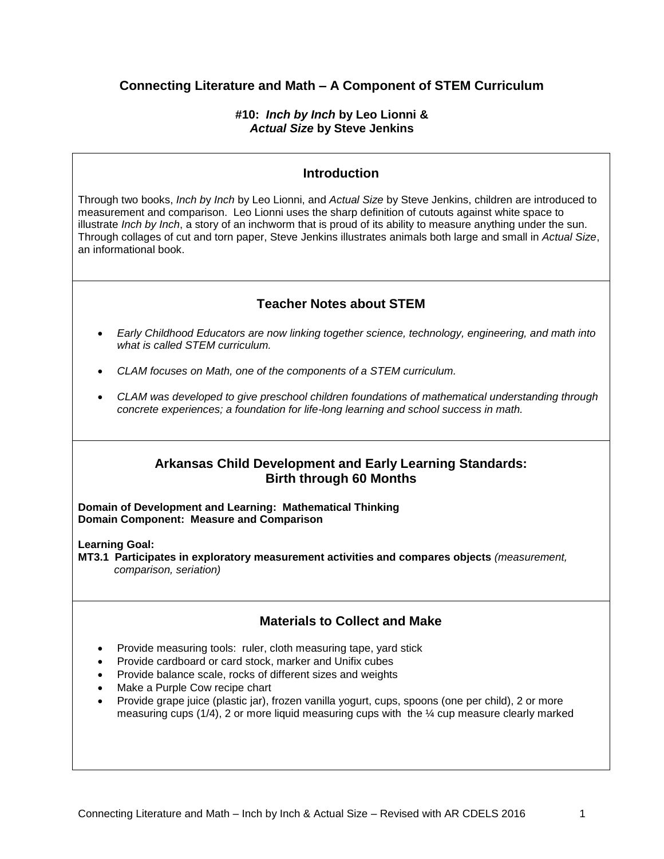## **Connecting Literature and Math – A Component of STEM Curriculum**

### **#10:** *Inch by Inch* **by Leo Lionni &** *Actual Size* **by Steve Jenkins**

### **Introduction**

Through two books, *Inch b*y *Inch* by Leo Lionni, and *Actual Size* by Steve Jenkins, children are introduced to measurement and comparison. Leo Lionni uses the sharp definition of cutouts against white space to illustrate *Inch by Inch*, a story of an inchworm that is proud of its ability to measure anything under the sun. Through collages of cut and torn paper, Steve Jenkins illustrates animals both large and small in *Actual Size*, an informational book.

# **Teacher Notes about STEM**

- *Early Childhood Educators are now linking together science, technology, engineering, and math into what is called STEM curriculum.*
- *CLAM focuses on Math, one of the components of a STEM curriculum.*
- *CLAM was developed to give preschool children foundations of mathematical understanding through concrete experiences; a foundation for life-long learning and school success in math.*

## **Arkansas Child Development and Early Learning Standards: Birth through 60 Months**

**Domain of Development and Learning: Mathematical Thinking Domain Component: Measure and Comparison**

**Learning Goal:**

**MT3.1 Participates in exploratory measurement activities and compares objects** *(measurement, comparison, seriation)*

# **Materials to Collect and Make**

- Provide measuring tools: ruler, cloth measuring tape, yard stick
- Provide cardboard or card stock, marker and Unifix cubes
- Provide balance scale, rocks of different sizes and weights
- Make a Purple Cow recipe chart
- Provide grape juice (plastic jar), frozen vanilla yogurt, cups, spoons (one per child), 2 or more measuring cups  $(1/4)$ , 2 or more liquid measuring cups with the  $\frac{1}{4}$  cup measure clearly marked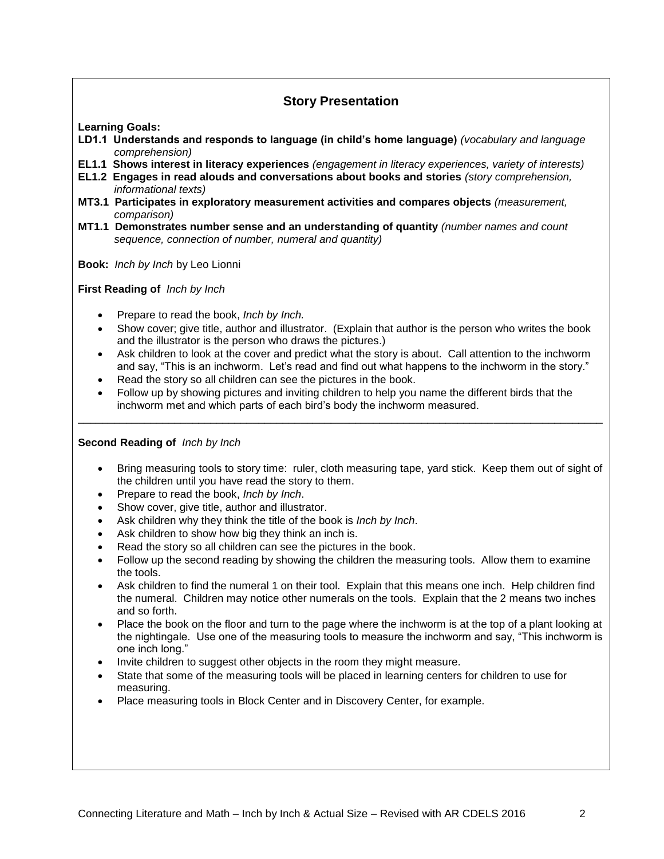# **Story Presentation**

**Learning Goals:**

- **LD1.1 Understands and responds to language (in child's home language)** *(vocabulary and language comprehension)*
- **EL1.1 Shows interest in literacy experiences** *(engagement in literacy experiences, variety of interests)*
- **EL1.2 Engages in read alouds and conversations about books and stories** *(story comprehension, informational texts)*
- **MT3.1 Participates in exploratory measurement activities and compares objects** *(measurement, comparison)*
- **MT1.1 Demonstrates number sense and an understanding of quantity** *(number names and count sequence, connection of number, numeral and quantity)*
- **Book:** *Inch by Inch* by Leo Lionni

**First Reading of** *Inch by Inch*

- Prepare to read the book, *Inch by Inch.*
- Show cover; give title, author and illustrator. (Explain that author is the person who writes the book and the illustrator is the person who draws the pictures.)
- Ask children to look at the cover and predict what the story is about. Call attention to the inchworm and say, "This is an inchworm. Let's read and find out what happens to the inchworm in the story."
- Read the story so all children can see the pictures in the book.
- Follow up by showing pictures and inviting children to help you name the different birds that the inchworm met and which parts of each bird's body the inchworm measured. \_\_\_\_\_\_\_\_\_\_\_\_\_\_\_\_\_\_\_\_\_\_\_\_\_\_\_\_\_\_\_\_\_\_\_\_\_\_\_\_\_\_\_\_\_\_\_\_\_\_\_\_\_\_\_\_\_\_\_\_\_\_\_\_\_\_\_\_\_\_\_\_\_\_\_\_\_\_\_\_\_\_\_\_\_\_\_

#### **Second Reading of** *Inch by Inch*

- Bring measuring tools to story time: ruler, cloth measuring tape, yard stick. Keep them out of sight of the children until you have read the story to them.
- Prepare to read the book, *Inch by Inch*.
- Show cover, give title, author and illustrator.
- Ask children why they think the title of the book is *Inch by Inch*.
- Ask children to show how big they think an inch is.
- Read the story so all children can see the pictures in the book.
- Follow up the second reading by showing the children the measuring tools. Allow them to examine the tools.
- Ask children to find the numeral 1 on their tool. Explain that this means one inch. Help children find the numeral. Children may notice other numerals on the tools. Explain that the 2 means two inches and so forth.
- Place the book on the floor and turn to the page where the inchworm is at the top of a plant looking at the nightingale. Use one of the measuring tools to measure the inchworm and say, "This inchworm is one inch long."
- Invite children to suggest other objects in the room they might measure.
- State that some of the measuring tools will be placed in learning centers for children to use for measuring.
- Place measuring tools in Block Center and in Discovery Center, for example.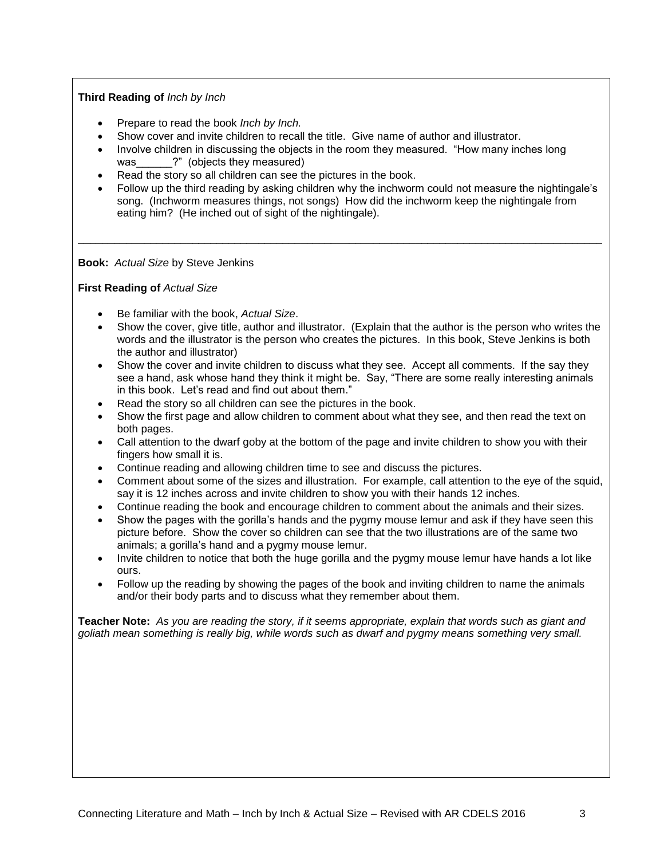#### **Third Reading of** *Inch by Inch*

- Prepare to read the book *Inch by Inch.*
- Show cover and invite children to recall the title. Give name of author and illustrator.
- Involve children in discussing the objects in the room they measured. "How many inches long was **2<sup>n</sup>** (objects they measured)
- Read the story so all children can see the pictures in the book.
- Follow up the third reading by asking children why the inchworm could not measure the nightingale's song. (Inchworm measures things, not songs) How did the inchworm keep the nightingale from eating him? (He inched out of sight of the nightingale).

\_\_\_\_\_\_\_\_\_\_\_\_\_\_\_\_\_\_\_\_\_\_\_\_\_\_\_\_\_\_\_\_\_\_\_\_\_\_\_\_\_\_\_\_\_\_\_\_\_\_\_\_\_\_\_\_\_\_\_\_\_\_\_\_\_\_\_\_\_\_\_\_\_\_\_\_\_\_\_\_\_\_\_\_\_\_\_

**Book:** *Actual Size* by Steve Jenkins

**First Reading of** *Actual Size*

- Be familiar with the book, *Actual Size*.
- Show the cover, give title, author and illustrator. (Explain that the author is the person who writes the words and the illustrator is the person who creates the pictures. In this book, Steve Jenkins is both the author and illustrator)
- Show the cover and invite children to discuss what they see. Accept all comments. If the say they see a hand, ask whose hand they think it might be. Say, "There are some really interesting animals in this book. Let's read and find out about them."
- Read the story so all children can see the pictures in the book.
- Show the first page and allow children to comment about what they see, and then read the text on both pages.
- Call attention to the dwarf goby at the bottom of the page and invite children to show you with their fingers how small it is.
- Continue reading and allowing children time to see and discuss the pictures.
- Comment about some of the sizes and illustration. For example, call attention to the eve of the squid, say it is 12 inches across and invite children to show you with their hands 12 inches.
- Continue reading the book and encourage children to comment about the animals and their sizes.
- Show the pages with the gorilla's hands and the pygmy mouse lemur and ask if they have seen this picture before. Show the cover so children can see that the two illustrations are of the same two animals; a gorilla's hand and a pygmy mouse lemur.
- Invite children to notice that both the huge gorilla and the pygmy mouse lemur have hands a lot like ours.
- Follow up the reading by showing the pages of the book and inviting children to name the animals and/or their body parts and to discuss what they remember about them.

**Teacher Note:** *As you are reading the story, if it seems appropriate, explain that words such as giant and goliath mean something is really big, while words such as dwarf and pygmy means something very small.*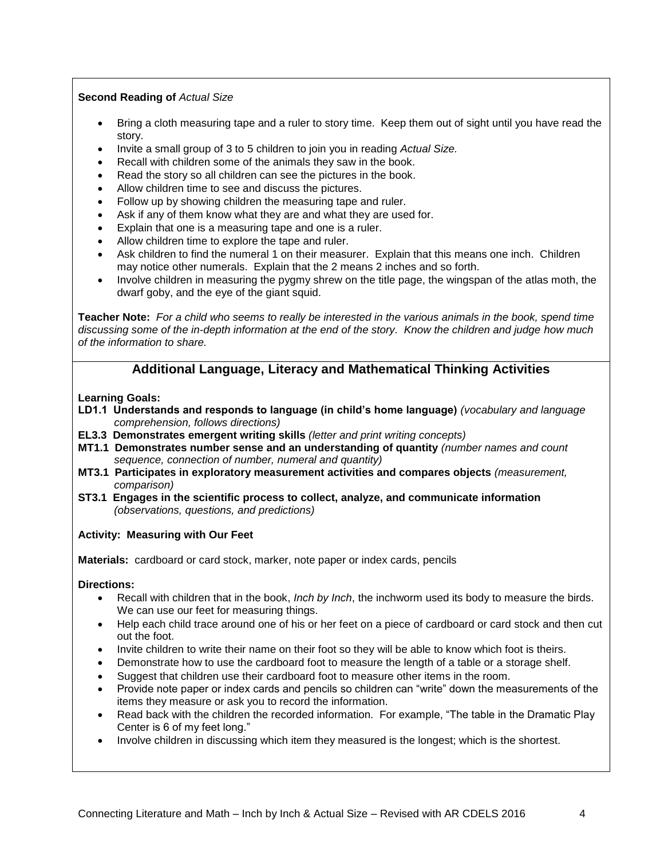#### **Second Reading of** *Actual Size*

- Bring a cloth measuring tape and a ruler to story time. Keep them out of sight until you have read the story.
- Invite a small group of 3 to 5 children to join you in reading *Actual Size.*
- Recall with children some of the animals they saw in the book.
- Read the story so all children can see the pictures in the book.
- Allow children time to see and discuss the pictures.
- Follow up by showing children the measuring tape and ruler.
- Ask if any of them know what they are and what they are used for.
- Explain that one is a measuring tape and one is a ruler.
- Allow children time to explore the tape and ruler.
- Ask children to find the numeral 1 on their measurer. Explain that this means one inch. Children may notice other numerals. Explain that the 2 means 2 inches and so forth.
- Involve children in measuring the pygmy shrew on the title page, the wingspan of the atlas moth, the dwarf goby, and the eye of the giant squid.

**Teacher Note:** *For a child who seems to really be interested in the various animals in the book, spend time discussing some of the in-depth information at the end of the story. Know the children and judge how much of the information to share.*

## **Additional Language, Literacy and Mathematical Thinking Activities**

#### **Learning Goals:**

- **LD1.1 Understands and responds to language (in child's home language)** *(vocabulary and language comprehension, follows directions)*
- **EL3.3 Demonstrates emergent writing skills** *(letter and print writing concepts)*
- **MT1.1 Demonstrates number sense and an understanding of quantity** *(number names and count sequence, connection of number, numeral and quantity)*
- **MT3.1 Participates in exploratory measurement activities and compares objects** *(measurement, comparison)*
- **ST3.1 Engages in the scientific process to collect, analyze, and communicate information** *(observations, questions, and predictions)*

#### **Activity: Measuring with Our Feet**

**Materials:** cardboard or card stock, marker, note paper or index cards, pencils

#### **Directions:**

- Recall with children that in the book, *Inch by Inch*, the inchworm used its body to measure the birds. We can use our feet for measuring things.
- Help each child trace around one of his or her feet on a piece of cardboard or card stock and then cut out the foot.
- Invite children to write their name on their foot so they will be able to know which foot is theirs.
- Demonstrate how to use the cardboard foot to measure the length of a table or a storage shelf.
- Suggest that children use their cardboard foot to measure other items in the room.
- Provide note paper or index cards and pencils so children can "write" down the measurements of the items they measure or ask you to record the information.
- Read back with the children the recorded information. For example, "The table in the Dramatic Play Center is 6 of my feet long."
- Involve children in discussing which item they measured is the longest; which is the shortest.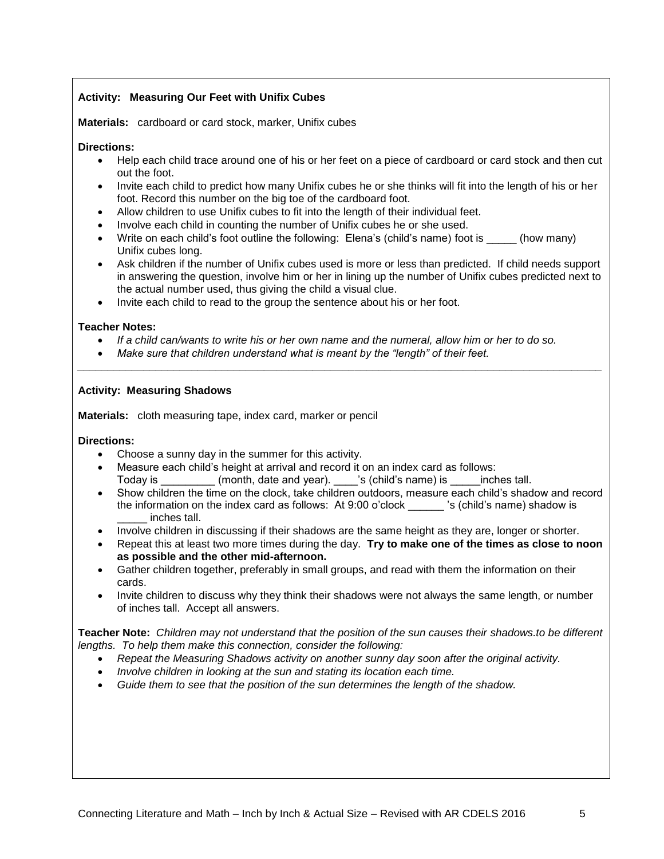### **Activity: Measuring Our Feet with Unifix Cubes**

**Materials:** cardboard or card stock, marker, Unifix cubes

#### **Directions:**

- Help each child trace around one of his or her feet on a piece of cardboard or card stock and then cut out the foot.
- Invite each child to predict how many Unifix cubes he or she thinks will fit into the length of his or her foot. Record this number on the big toe of the cardboard foot.
- Allow children to use Unifix cubes to fit into the length of their individual feet.
- Involve each child in counting the number of Unifix cubes he or she used.
- Write on each child's foot outline the following: Elena's (child's name) foot is \_\_\_\_\_ (how many) Unifix cubes long.
- Ask children if the number of Unifix cubes used is more or less than predicted. If child needs support in answering the question, involve him or her in lining up the number of Unifix cubes predicted next to the actual number used, thus giving the child a visual clue.
- Invite each child to read to the group the sentence about his or her foot.

#### **Teacher Notes:**

*If a child can/wants to write his or her own name and the numeral, allow him or her to do so.*

*\_\_\_\_\_\_\_\_\_\_\_\_\_\_\_\_\_\_\_\_\_\_\_\_\_\_\_\_\_\_\_\_\_\_\_\_\_\_\_\_\_\_\_\_\_\_\_\_\_\_\_\_\_\_\_\_\_\_\_\_\_\_\_\_\_\_\_\_\_\_\_\_\_\_\_\_\_\_\_\_\_\_\_\_\_\_\_*

*Make sure that children understand what is meant by the "length" of their feet.*

#### **Activity: Measuring Shadows**

**Materials:** cloth measuring tape, index card, marker or pencil

#### **Directions:**

- Choose a sunny day in the summer for this activity.
- Measure each child's height at arrival and record it on an index card as follows: Today is equal the month, date and year). The 's (child's name) is equals inches tall.
- Show children the time on the clock, take children outdoors, measure each child's shadow and record the information on the index card as follows: At 9:00 o'clock <sup>'s</sup> (child's name) shadow is \_\_\_\_\_ inches tall.
- Involve children in discussing if their shadows are the same height as they are, longer or shorter.
- Repeat this at least two more times during the day. **Try to make one of the times as close to noon as possible and the other mid-afternoon.**
- Gather children together, preferably in small groups, and read with them the information on their cards.
- Invite children to discuss why they think their shadows were not always the same length, or number of inches tall. Accept all answers.

**Teacher Note:** *Children may not understand that the position of the sun causes their shadows.to be different lengths. To help them make this connection, consider the following:*

- *Repeat the Measuring Shadows activity on another sunny day soon after the original activity.*
- *Involve children in looking at the sun and stating its location each time.*
- *Guide them to see that the position of the sun determines the length of the shadow.*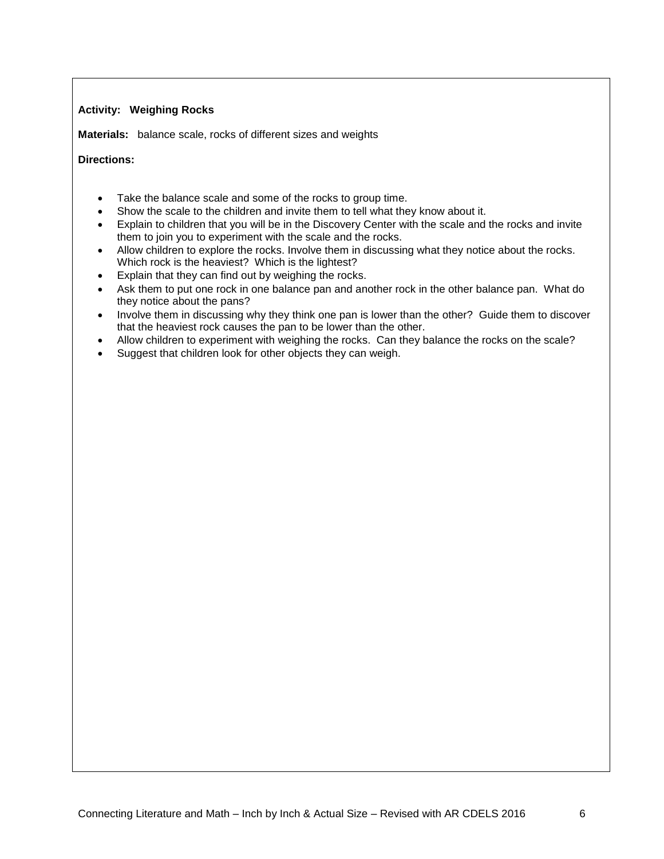### **Activity: Weighing Rocks**

**Materials:** balance scale, rocks of different sizes and weights

#### **Directions:**

- Take the balance scale and some of the rocks to group time.
- Show the scale to the children and invite them to tell what they know about it.
- Explain to children that you will be in the Discovery Center with the scale and the rocks and invite them to join you to experiment with the scale and the rocks.
- Allow children to explore the rocks. Involve them in discussing what they notice about the rocks. Which rock is the heaviest? Which is the lightest?
- **Explain that they can find out by weighing the rocks.**
- Ask them to put one rock in one balance pan and another rock in the other balance pan. What do they notice about the pans?
- Involve them in discussing why they think one pan is lower than the other? Guide them to discover that the heaviest rock causes the pan to be lower than the other.
- Allow children to experiment with weighing the rocks. Can they balance the rocks on the scale?
- Suggest that children look for other objects they can weigh.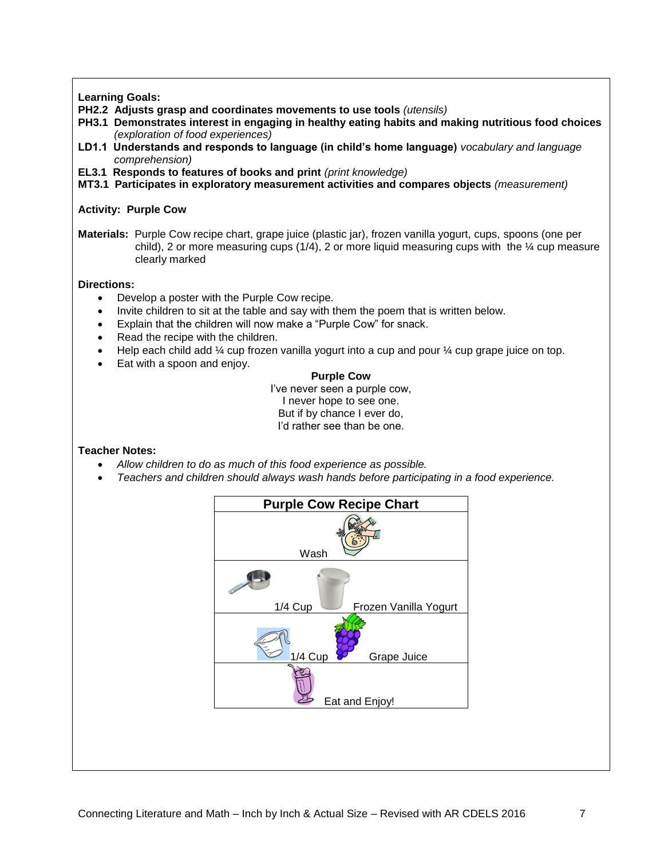**Learning Goals:**

- **PH2.2 Adjusts grasp and coordinates movements to use tools** *(utensils)*
- **PH3.1 Demonstrates interest in engaging in healthy eating habits and making nutritious food choices** *(exploration of food experiences)*
- **LD1.1 Understands and responds to language (in child's home language)** *vocabulary and language comprehension)*
- **EL3.1 Responds to features of books and print** *(print knowledge)*
- **MT3.1 Participates in exploratory measurement activities and compares objects** *(measurement)*

### **Activity: Purple Cow**

**Materials:** Purple Cow recipe chart, grape juice (plastic jar), frozen vanilla yogurt, cups, spoons (one per child), 2 or more measuring cups  $(1/4)$ , 2 or more liquid measuring cups with the  $\frac{1}{4}$  cup measure clearly marked

#### **Directions:**

- Develop a poster with the Purple Cow recipe.
- Invite children to sit at the table and say with them the poem that is written below.
- Explain that the children will now make a "Purple Cow" for snack.
- Read the recipe with the children.
- $\bullet$  Help each child add ¼ cup frozen vanilla yogurt into a cup and pour ¼ cup grape juice on top.
- Eat with a spoon and enjoy.

#### **Purple Cow**

I've never seen a purple cow, I never hope to see one. But if by chance I ever do, I'd rather see than be one.

#### **Teacher Notes:**

- *Allow children to do as much of this food experience as possible.*
- *Teachers and children should always wash hands before participating in a food experience.*

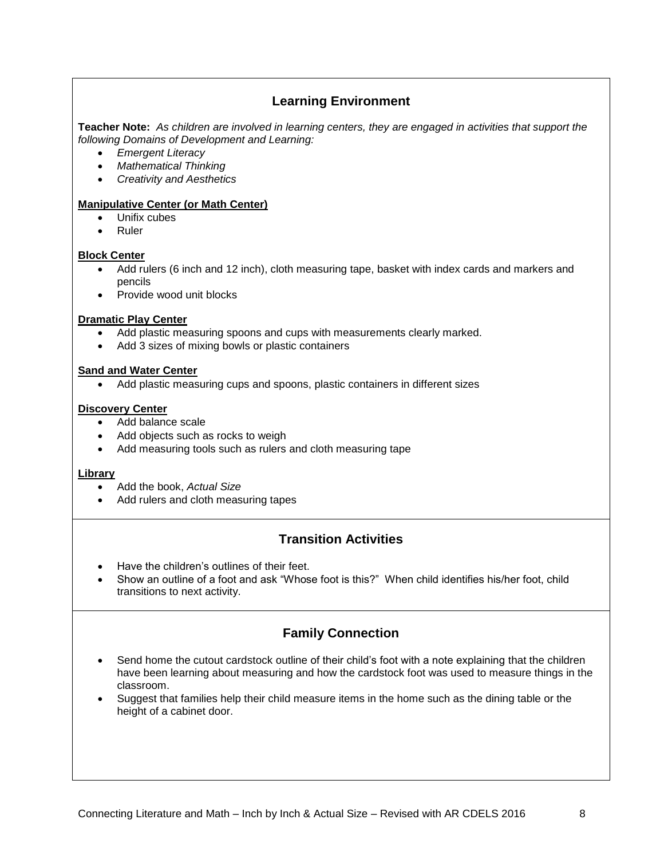# **Learning Environment**

**Teacher Note:** *As children are involved in learning centers, they are engaged in activities that support the following Domains of Development and Learning:*

- *Emergent Literacy*
- *Mathematical Thinking*
- *Creativity and Aesthetics*

#### **Manipulative Center (or Math Center)**

- Unifix cubes
- Ruler

#### **Block Center**

- Add rulers (6 inch and 12 inch), cloth measuring tape, basket with index cards and markers and pencils
- Provide wood unit blocks

#### **Dramatic Play Center**

- Add plastic measuring spoons and cups with measurements clearly marked.
- Add 3 sizes of mixing bowls or plastic containers

#### **Sand and Water Center**

Add plastic measuring cups and spoons, plastic containers in different sizes

#### **Discovery Center**

- Add balance scale
- Add objects such as rocks to weigh
- Add measuring tools such as rulers and cloth measuring tape

#### **Library**

- Add the book, *Actual Size*
- Add rulers and cloth measuring tapes

## **Transition Activities**

- Have the children's outlines of their feet.
- Show an outline of a foot and ask "Whose foot is this?" When child identifies his/her foot, child transitions to next activity.

## **Family Connection**

- Send home the cutout cardstock outline of their child's foot with a note explaining that the children have been learning about measuring and how the cardstock foot was used to measure things in the classroom.
- Suggest that families help their child measure items in the home such as the dining table or the height of a cabinet door.